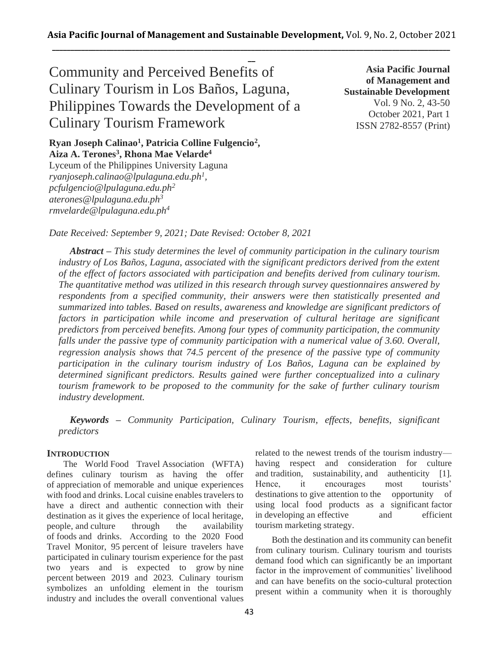**\_\_** Community and Perceived Benefits of Culinary Tourism in Los Baños, Laguna, Philippines Towards the Development of a Culinary Tourism Framework

**Asia Pacific Journal of Management and Sustainable Development**  Vol. 9 No. 2, 43-50 October 2021, Part 1 ISSN 2782-8557 (Print)

**Ryan Joseph Calinao<sup>1</sup> , Patricia Colline Fulgencio<sup>2</sup> , Aiza A. Terones<sup>3</sup> , Rhona Mae Velarde<sup>4</sup>**

Lyceum of the Philippines University Laguna *ryanjoseph.calinao@lpulaguna.edu.ph<sup>1</sup> , pcfulgencio@lpulaguna.edu.ph<sup>2</sup> aterones@lpulaguna.edu.ph<sup>3</sup> rmvelarde@lpulaguna.edu.ph<sup>4</sup>*

*Date Received: September 9, 2021; Date Revised: October 8, 2021*

*Abstract – This study determines the level of community participation in the culinary tourism industry of Los Baños, Laguna, associated with the significant predictors derived from the extent of the effect of factors associated with participation and benefits derived from culinary tourism. The quantitative method was utilized in this research through survey questionnaires answered by respondents from a specified community, their answers were then statistically presented and summarized into tables. Based on results, awareness and knowledge are significant predictors of factors in participation while income and preservation of cultural heritage are significant predictors from perceived benefits. Among four types of community participation, the community falls under the passive type of community participation with a numerical value of 3.60. Overall, regression analysis shows that 74.5 percent of the presence of the passive type of community participation in the culinary tourism industry of Los Baños, Laguna can be explained by determined significant predictors. Results gained were further conceptualized into a culinary tourism framework to be proposed to the community for the sake of further culinary tourism industry development.*

*Keywords – Community Participation, Culinary Tourism, effects, benefits, significant predictors*

# **INTRODUCTION**

The World Food Travel Association (WFTA) defines culinary tourism as having the offer of appreciation of memorable and unique experiences with food and drinks. Local cuisine enables travelers to have a direct and authentic connection with their destination as it gives the experience of local heritage, people, and culture through the availability of foods and drinks. According to the 2020 Food Travel Monitor, 95 percent of leisure travelers have participated in culinary tourism experience for the past two years and is expected to grow by nine percent between 2019 and 2023. Culinary tourism symbolizes an unfolding element in the tourism industry and includes the overall conventional values

related to the newest trends of the tourism industry having respect and consideration for culture and tradition, sustainability, and authenticity [1]. Hence, it encourages most tourists' destinations to give attention to the opportunity of using local food products as a significant factor in developing an effective and efficient tourism marketing strategy.

Both the destination and its community can benefit from culinary tourism. Culinary tourism and tourists demand food which can significantly be an important factor in the improvement of communities' livelihood and can have benefits on the socio-cultural protection present within a community when it is thoroughly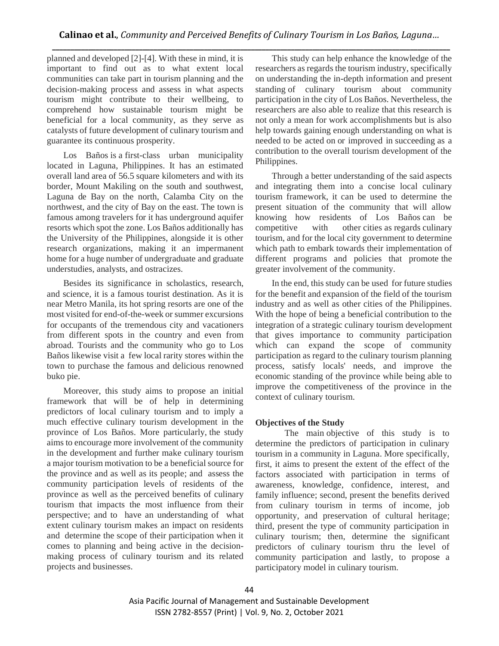planned and developed [2]-[4]. With these in mind, it is important to find out as to what extent local communities can take part in tourism planning and the decision-making process and assess in what aspects tourism might contribute to their wellbeing, to comprehend how sustainable tourism might be beneficial for a local community, as they serve as catalysts of future development of culinary tourism and guarantee its continuous prosperity.

Los Baños is a first-class urban municipality located in Laguna, Philippines. It has an estimated overall land area of 56.5 square kilometers and with its border, Mount Makiling on the south and southwest, Laguna de Bay on the north, Calamba City on the northwest, and the city of Bay on the east. The town is famous among travelers for it has underground aquifer resorts which spot the zone. Los Baños additionally has the University of the Philippines, alongside it is other research organizations, making it an impermanent home for a huge number of undergraduate and graduate understudies, analysts, and ostracizes.

Besides its significance in scholastics, research, and science, it is a famous tourist destination. As it is near Metro Manila, its hot spring resorts are one of the most visited for end-of-the-week or summer excursions for occupants of the tremendous city and vacationers from different spots in the country and even from abroad. Tourists and the community who go to Los Baños likewise visit a few local rarity stores within the town to purchase the famous and delicious renowned buko pie.

Moreover, this study aims to propose an initial framework that will be of help in determining predictors of local culinary tourism and to imply a much effective culinary tourism development in the province of Los Baños. More particularly, the study aims to encourage more involvement of the community in the development and further make culinary tourism a major tourism motivation to be a beneficial source for the province and as well as its people; and assess the community participation levels of residents of the province as well as the perceived benefits of culinary tourism that impacts the most influence from their perspective; and to have an understanding of what extent culinary tourism makes an impact on residents and determine the scope of their participation when it comes to planning and being active in the decisionmaking process of culinary tourism and its related projects and businesses.

This study can help enhance the knowledge of the researchers as regards the tourism industry, specifically on understanding the in-depth information and present standing of culinary tourism about community participation in the city of Los Baños. Nevertheless, the researchers are also able to realize that this research is not only a mean for work accomplishments but is also help towards gaining enough understanding on what is needed to be acted on or improved in succeeding as a contribution to the overall tourism development of the Philippines.

Through a better understanding of the said aspects and integrating them into a concise local culinary tourism framework, it can be used to determine the present situation of the community that will allow knowing how residents of Los Baños can be competitive with other cities as regards culinary tourism, and for the local city government to determine which path to embark towards their implementation of different programs and policies that promote the greater involvement of the community.

In the end, this study can be used for future studies for the benefit and expansion of the field of the tourism industry and as well as other cities of the Philippines. With the hope of being a beneficial contribution to the integration of a strategic culinary tourism development that gives importance to community participation which can expand the scope of community participation as regard to the culinary tourism planning process, satisfy locals' needs, and improve the economic standing of the province while being able to improve the competitiveness of the province in the context of culinary tourism.

## **Objectives of the Study**

The main objective of this study is to determine the predictors of participation in culinary tourism in a community in Laguna. More specifically, first, it aims to present the extent of the effect of the factors associated with participation in terms of awareness, knowledge, confidence, interest, and family influence; second, present the benefits derived from culinary tourism in terms of income, job opportunity, and preservation of cultural heritage; third, present the type of community participation in culinary tourism; then, determine the significant predictors of culinary tourism thru the level of community participation and lastly, to propose a participatory model in culinary tourism.

Asia Pacific Journal of Management and Sustainable Development ISSN 2782-8557 (Print) | Vol. 9, No. 2, October 2021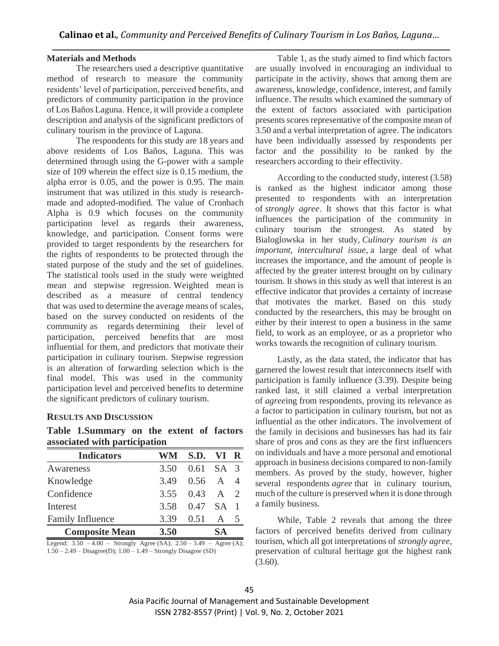#### **Materials and Methods**

The researchers used a descriptive quantitative method of research to measure the community residents' level of participation, perceived benefits, and predictors of community participation in the province of Los Baños Laguna. Hence, it will provide a complete description and analysis of the significant predictors of culinary tourism in the province of Laguna.

The respondents for this study are 18 years and above residents of Los Baños, Laguna. This was determined through using the G-power with a sample size of 109 wherein the effect size is 0.15 medium, the alpha error is 0.05, and the power is 0.95. The main instrument that was utilized in this study is researchmade and adopted-modified. The value of Cronbach Alpha is 0.9 which focuses on the community participation level as regards their awareness, knowledge, and participation. Consent forms were provided to target respondents by the researchers for the rights of respondents to be protected through the stated purpose of the study and the set of guidelines. The statistical tools used in the study were weighted mean and stepwise regression. Weighted mean is described as a measure of central tendency that was used to determine the average means of scales, based on the survey conducted on residents of the community as regards determining their level of participation, perceived benefits that are most influential for them, and predictors that motivate their participation in culinary tourism. Stepwise regression is an alteration of forwarding selection which is the final model. This was used in the community participation level and perceived benefits to determine the significant predictors of culinary tourism.

### **RESULTS AND DISCUSSION**

| Table 1. Summary on the extent of factors |  |  |  |
|-------------------------------------------|--|--|--|
| associated with participation             |  |  |  |

| <b>Indicators</b>                                                                                                                                                                                                                                                                         | WM                      | S.D. VI R      |              |               |
|-------------------------------------------------------------------------------------------------------------------------------------------------------------------------------------------------------------------------------------------------------------------------------------------|-------------------------|----------------|--------------|---------------|
| Awareness                                                                                                                                                                                                                                                                                 | 3.50                    | $0.61$ SA 3    |              |               |
| Knowledge                                                                                                                                                                                                                                                                                 | 3.49                    | 0.56           | $\mathsf{A}$ |               |
| Confidence                                                                                                                                                                                                                                                                                | 3.55                    | $0.43 \quad A$ |              |               |
| Interest                                                                                                                                                                                                                                                                                  | 3.58                    | 0.47 SA 1      |              |               |
| Family Influence                                                                                                                                                                                                                                                                          | 3.39                    | 0.51           | A            |               |
| <b>Composite Mean</b>                                                                                                                                                                                                                                                                     | 3.50                    |                | SА           |               |
| $\sim$ 1 $\sim$ 70 $\sim$ 0.1 $\sim$ 1 $\sim$ 1 $\sim$ 1 $\sim$ 1 $\sim$ 1 $\sim$ 1 $\sim$ 1 $\sim$ 1 $\sim$ 1 $\sim$ 1 $\sim$ 1 $\sim$ 1 $\sim$ 1 $\sim$ 1 $\sim$ 1 $\sim$ 1 $\sim$ 1 $\sim$ 1 $\sim$ 1 $\sim$ 1 $\sim$ 1 $\sim$ 1 $\sim$ 1 $\sim$ 1 $\sim$ 1 $\sim$ 1 $\sim$ 1 $\sim$ 1 | $(0,1)$ $(0,0)$ $(0,1)$ |                | $\cdots$     | $\sim$ $\sim$ |

Legend: 3.50 – 4.00 – Strongly Agree (SA); 2.50 – 3.49 – Agree (A); 1.50 – 2.49 – Disagree(D); 1.00 – 1.49 – Strongly Disagree (SD)

Table 1, as the study aimed to find which factors are usually involved in encouraging an individual to participate in the activity, shows that among them are awareness, knowledge, confidence, interest, and family influence. The results which examined the summary of the extent of factors associated with participation presents scores representative of the composite mean of 3.50 and a verbal interpretation of agree. The indicators have been individually assessed by respondents per factor and the possibility to be ranked by the researchers according to their effectivity.

According to the conducted study, interest (3.58) is ranked as the highest indicator among those presented to respondents with an interpretation of *strongly agree*. It shows that this factor is what influences the participation of the community in culinary tourism the strongest. As stated by Bialoglowska in her study, *Culinary tourism is an important, intercultural issue,* a large deal of what increases the importance, and the amount of people is affected by the greater interest brought on by culinary tourism. It shows in this study as well that interest is an effective indicator that provides a certainty of increase that motivates the market. Based on this study conducted by the researchers, this may be brought on either by their interest to open a business in the same field, to work as an employee, or as a proprietor who works towards the recognition of culinary tourism.

Lastly, as the data stated, the indicator that has garnered the lowest result that interconnects itself with participation is family influence (3.39). Despite being ranked last, it still claimed a verbal interpretation of *agree*ing from respondents, proving its relevance as a factor to participation in culinary tourism, but not as influential as the other indicators. The involvement of the family in decisions and businesses has had its fair share of pros and cons as they are the first influencers on individuals and have a more personal and emotional approach in business decisions compared to non-family members. As proved by the study, however, higher several respondents *agree* that in culinary tourism, much of the culture is preserved when it is done through a family business.

While, Table 2 reveals that among the three factors of perceived benefits derived from culinary tourism, which all got interpretations of *strongly agree*, preservation of cultural heritage got the highest rank  $(3.60).$ 

Asia Pacific Journal of Management and Sustainable Development ISSN 2782-8557 (Print) | Vol. 9, No. 2, October 2021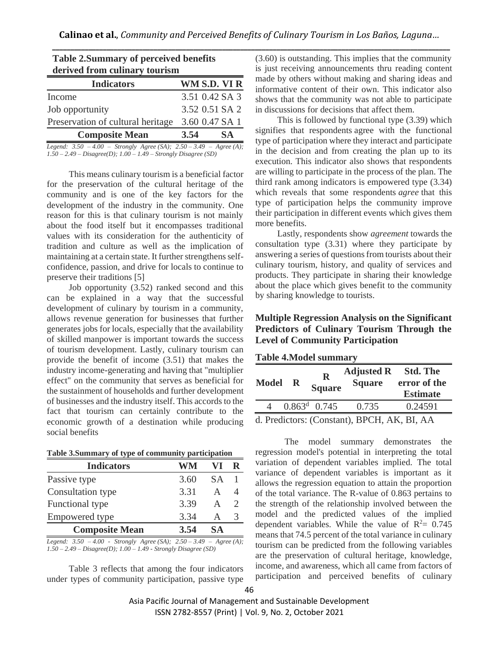| <b>Table 2.Summary of perceived benefits</b><br>derived from culinary tourism |  |                |  |  |  |
|-------------------------------------------------------------------------------|--|----------------|--|--|--|
| WM S.D. VI R<br><b>Indicators</b>                                             |  |                |  |  |  |
| Income                                                                        |  | 3.51 0.42 SA 3 |  |  |  |
| Job opportunity                                                               |  | 3.52 0.51 SA 2 |  |  |  |
| Preservation of cultural heritage<br>3.60 0.47 SA 1                           |  |                |  |  |  |
| <b>Composite Mean</b><br><b>SA</b><br>3.54                                    |  |                |  |  |  |
| Legend: $3.50 - 4.00 -$ Strongly Agree (SA); $2.50 - 3.49 -$ Agree (A);       |  |                |  |  |  |

*1.50 – 2.49 – Disagree(D); 1.00 – 1.49 – Strongly Disagree (SD)*

This means culinary tourism is a beneficial factor for the preservation of the cultural heritage of the community and is one of the key factors for the development of the industry in the community. One reason for this is that culinary tourism is not mainly about the food itself but it encompasses traditional values with its consideration for the authenticity of tradition and culture as well as the implication of maintaining at a certain state. It further strengthens selfconfidence, passion, and drive for locals to continue to preserve their traditions [5]

Job opportunity (3.52) ranked second and this can be explained in a way that the successful development of culinary by tourism in a community, allows revenue generation for businesses that further generates jobs for locals, especially that the availability of skilled manpower is important towards the success of tourism development. Lastly, culinary tourism can provide the benefit of income (3.51) that makes the industry income-generating and having that "multiplier effect" on the community that serves as beneficial for the sustainment of households and further development of businesses and the industry itself. This accords to the fact that tourism can certainly contribute to the economic growth of a destination while producing social benefits

| Table 3.Summary of type of community participation |  |  |  |
|----------------------------------------------------|--|--|--|
|                                                    |  |  |  |

| <b>Indicators</b>                                  | WM                          | V I            |     |
|----------------------------------------------------|-----------------------------|----------------|-----|
| Passive type                                       | 3.60                        | <b>SA</b>      |     |
| Consultation type                                  | 3.31                        | A              |     |
| Functional type                                    | 3.39                        | A              |     |
| Empowered type                                     | 3.34                        | А              | 3   |
| <b>Composite Mean</b>                              | 3.54                        | SА             |     |
| $2.50 \pm 0.00$ $\sigma$ $1 \pm 1$<br>$\mathbf{r}$ | $2.70$ $2.10$<br>$\sqrt{a}$ | $\overline{a}$ | (1) |

*Legend: 3.50 – 4.00 - Strongly Agree (SA); 2.50 – 3.49 – Agree (A); 1.50 – 2.49 – Disagree(D); 1.00 – 1.49 - Strongly Disagree (SD)*

Table 3 reflects that among the four indicators under types of community participation, passive type (3.60) is outstanding. This implies that the community is just receiving announcements thru reading content made by others without making and sharing ideas and informative content of their own. This indicator also shows that the community was not able to participate in discussions for decisions that affect them.

This is followed by functional type (3.39) which signifies that respondents agree with the functional type of participation where they interact and participate in the decision and from creating the plan up to its execution. This indicator also shows that respondents are willing to participate in the process of the plan. The third rank among indicators is empowered type (3.34) which reveals that some respondents *agree* that this type of participation helps the community improve their participation in different events which gives them more benefits.

Lastly, respondents show *agreement* towards the consultation type (3.31) where they participate by answering a series of questions from tourists about their culinary tourism, history, and quality of services and products. They participate in sharing their knowledge about the place which gives benefit to the community by sharing knowledge to tourists.

# **Multiple Regression Analysis on the Significant Predictors of Culinary Tourism Through the Level of Community Participation**

| <b>Table 4. Model summary</b> |  |
|-------------------------------|--|
|-------------------------------|--|

| <b>Model</b> | R | $\bf R$<br><b>Square</b> | <b>Adjusted R</b> Std. The<br><b>Square</b> | error of the<br><b>Estimate</b> |
|--------------|---|--------------------------|---------------------------------------------|---------------------------------|
|              |   | $0.863^{\text{d}}$ 0.745 | 0.735                                       | 0.24591                         |
|              |   |                          | d. Predictors: (Constant), BPCH, AK, BI, AA |                                 |

 The model summary demonstrates the regression model's potential in interpreting the total variation of dependent variables implied. The total variance of dependent variables is important as it allows the regression equation to attain the proportion of the total variance. The R-value of 0.863 pertains to the strength of the relationship involved between the model and the predicted values of the implied dependent variables. While the value of  $R^2 = 0.745$ means that 74.5 percent of the total variance in culinary tourism can be predicted from the following variables are the preservation of cultural heritage, knowledge, income, and awareness, which all came from factors of participation and perceived benefits of culinary

Asia Pacific Journal of Management and Sustainable Development ISSN 2782-8557 (Print) | Vol. 9, No. 2, October 2021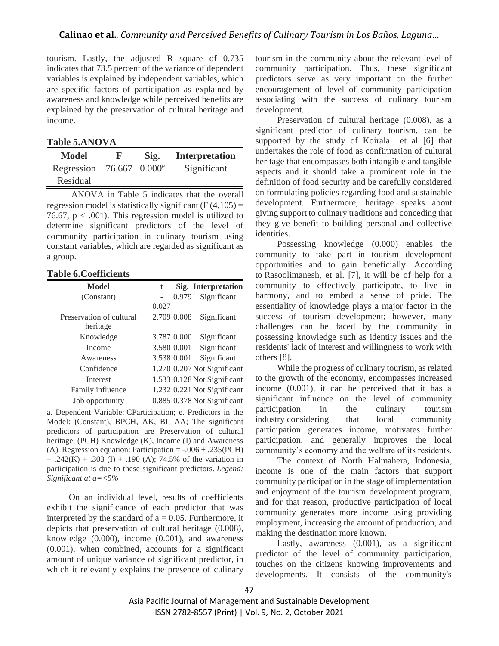tourism. Lastly, the adjusted R square of 0.735 indicates that 73.5 percent of the variance of dependent variables is explained by independent variables, which are specific factors of participation as explained by awareness and knowledge while perceived benefits are explained by the preservation of cultural heritage and income.

### **Table 5.ANOVA**

| Model      | K                         | Sig. | <b>Interpretation</b> |
|------------|---------------------------|------|-----------------------|
| Regression | 76.667 0.000 <sup>e</sup> |      | Significant           |
| Residual   |                           |      |                       |

ANOVA in Table 5 indicates that the overall regression model is statistically significant  $(F(4,105)) =$ 76.67,  $p < .001$ ). This regression model is utilized to determine significant predictors of the level of community participation in culinary tourism using constant variables, which are regarded as significant as a group.

#### **Table 6.Coefficients**

| Model                    | t     |             | Sig. Interpretation         |
|--------------------------|-------|-------------|-----------------------------|
| (Constant)               |       | 0.979       | Significant                 |
|                          | 0.027 |             |                             |
| Preservation of cultural |       | 2.709 0.008 | Significant                 |
| heritage                 |       |             |                             |
| Knowledge                |       | 3.787 0.000 | Significant                 |
| Income                   |       | 3.580 0.001 | Significant                 |
| Awareness                |       | 3.538 0.001 | Significant                 |
| Confidence               |       |             | 1.270 0.207 Not Significant |
| Interest                 |       |             | 1.533 0.128 Not Significant |
| Family influence         |       |             | 1.232 0.221 Not Significant |
| Job opportunity          |       |             | 0.885 0.378 Not Significant |

a. Dependent Variable: CParticipation; e. Predictors in the Model: (Constant), BPCH, AK, BI, AA; The significant predictors of participation are Preservation of cultural heritage, (PCH) Knowledge (K), Income (I) and Awareness (A). Regression equation: Participation =  $-.006 + .235$  (PCH)  $+ .242(K) + .303 (I) + .190 (A); 74.5% of the variation in$ participation is due to these significant predictors. *Legend: Significant at a=<5%*

On an individual level, results of coefficients exhibit the significance of each predictor that was interpreted by the standard of  $a = 0.05$ . Furthermore, it depicts that preservation of cultural heritage (0.008), knowledge (0.000), income (0.001), and awareness (0.001), when combined, accounts for a significant amount of unique variance of significant predictor, in which it relevantly explains the presence of culinary

tourism in the community about the relevant level of community participation. Thus, these significant predictors serve as very important on the further encouragement of level of community participation associating with the success of culinary tourism development.

Preservation of cultural heritage (0.008), as a significant predictor of culinary tourism, can be supported by the study of Koirala et al [6] that undertakes the role of food as confirmation of cultural heritage that encompasses both intangible and tangible aspects and it should take a prominent role in the definition of food security and be carefully considered on formulating policies regarding food and sustainable development. Furthermore, heritage speaks about giving support to culinary traditions and conceding that they give benefit to building personal and collective identities.

Possessing knowledge (0.000) enables the community to take part in tourism development opportunities and to gain beneficially. According to Rasoolimanesh, et al. [7], it will be of help for a community to effectively participate, to live in harmony, and to embed a sense of pride. The essentiality of knowledge plays a major factor in the success of tourism development; however, many challenges can be faced by the community in possessing knowledge such as identity issues and the residents' lack of interest and willingness to work with others [8].

While the progress of culinary tourism, as related to the growth of the economy, encompasses increased income (0.001), it can be perceived that it has a significant influence on the level of community participation in the culinary tourism industry considering that local community participation generates income, motivates further participation, and generally improves the local community's economy and the welfare of its residents.

The context of North Halmahera, Indonesia, income is one of the main factors that support community participation in the stage of implementation and enjoyment of the tourism development program, and for that reason, productive participation of local community generates more income using providing employment, increasing the amount of production, and making the destination more known.

Lastly, awareness (0.001), as a significant predictor of the level of community participation, touches on the citizens knowing improvements and developments. It consists of the community's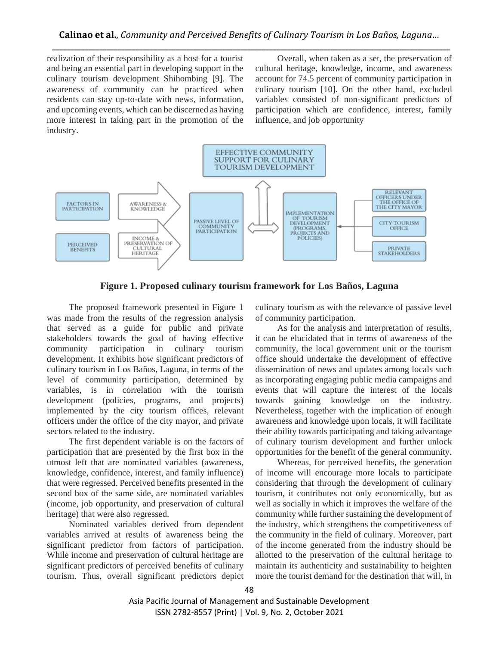realization of their responsibility as a host for a tourist and being an essential part in developing support in the culinary tourism development Shihombing [9]. The awareness of community can be practiced when residents can stay up-to-date with news, information, and upcoming events, which can be discerned as having more interest in taking part in the promotion of the industry.

Overall, when taken as a set, the preservation of cultural heritage, knowledge, income, and awareness account for 74.5 percent of community participation in culinary tourism [10]. On the other hand, excluded variables consisted of non-significant predictors of participation which are confidence, interest, family influence, and job opportunity



**Figure 1. Proposed culinary tourism framework for Los Baños, Laguna**

The proposed framework presented in Figure 1 was made from the results of the regression analysis that served as a guide for public and private stakeholders towards the goal of having effective community participation in culinary tourism development. It exhibits how significant predictors of culinary tourism in Los Baños, Laguna, in terms of the level of community participation, determined by variables, is in correlation with the tourism development (policies, programs, and projects) implemented by the city tourism offices, relevant officers under the office of the city mayor, and private sectors related to the industry.

The first dependent variable is on the factors of participation that are presented by the first box in the utmost left that are nominated variables (awareness, knowledge, confidence, interest, and family influence) that were regressed. Perceived benefits presented in the second box of the same side, are nominated variables (income, job opportunity, and preservation of cultural heritage) that were also regressed.

Nominated variables derived from dependent variables arrived at results of awareness being the significant predictor from factors of participation. While income and preservation of cultural heritage are significant predictors of perceived benefits of culinary tourism. Thus, overall significant predictors depict culinary tourism as with the relevance of passive level of community participation.

As for the analysis and interpretation of results, it can be elucidated that in terms of awareness of the community, the local government unit or the tourism office should undertake the development of effective dissemination of news and updates among locals such as incorporating engaging public media campaigns and events that will capture the interest of the locals towards gaining knowledge on the industry. Nevertheless, together with the implication of enough awareness and knowledge upon locals, it will facilitate their ability towards participating and taking advantage of culinary tourism development and further unlock opportunities for the benefit of the general community.

Whereas, for perceived benefits, the generation of income will encourage more locals to participate considering that through the development of culinary tourism, it contributes not only economically, but as well as socially in which it improves the welfare of the community while further sustaining the development of the industry, which strengthens the competitiveness of the community in the field of culinary. Moreover, part of the income generated from the industry should be allotted to the preservation of the cultural heritage to maintain its authenticity and sustainability to heighten more the tourist demand for the destination that will, in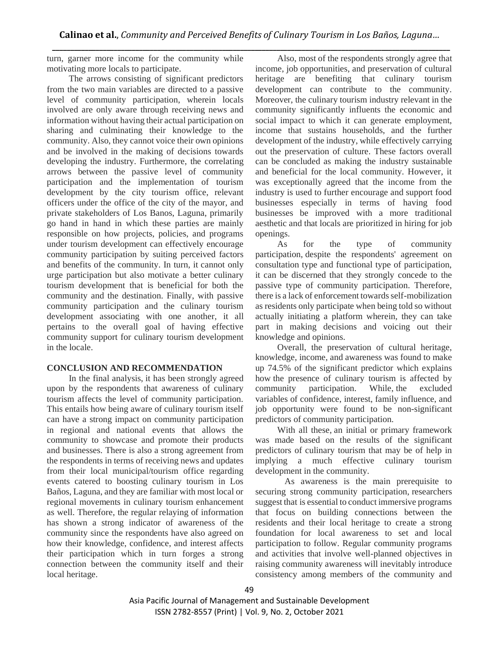turn, garner more income for the community while motivating more locals to participate.

The arrows consisting of significant predictors from the two main variables are directed to a passive level of community participation, wherein locals involved are only aware through receiving news and information without having their actual participation on sharing and culminating their knowledge to the community. Also, they cannot voice their own opinions and be involved in the making of decisions towards developing the industry. Furthermore, the correlating arrows between the passive level of community participation and the implementation of tourism development by the city tourism office, relevant officers under the office of the city of the mayor, and private stakeholders of Los Banos, Laguna, primarily go hand in hand in which these parties are mainly responsible on how projects, policies, and programs under tourism development can effectively encourage community participation by suiting perceived factors and benefits of the community. In turn, it cannot only urge participation but also motivate a better culinary tourism development that is beneficial for both the community and the destination. Finally, with passive community participation and the culinary tourism development associating with one another, it all pertains to the overall goal of having effective community support for culinary tourism development in the locale.

## **CONCLUSION AND RECOMMENDATION**

In the final analysis, it has been strongly agreed upon by the respondents that awareness of culinary tourism affects the level of community participation. This entails how being aware of culinary tourism itself can have a strong impact on community participation in regional and national events that allows the community to showcase and promote their products and businesses. There is also a strong agreement from the respondents in terms of receiving news and updates from their local municipal/tourism office regarding events catered to boosting culinary tourism in Los Baños, Laguna, and they are familiar with most local or regional movements in culinary tourism enhancement as well. Therefore, the regular relaying of information has shown a strong indicator of awareness of the community since the respondents have also agreed on how their knowledge, confidence, and interest affects their participation which in turn forges a strong connection between the community itself and their local heritage.

Also, most of the respondents strongly agree that income, job opportunities, and preservation of cultural heritage are benefiting that culinary tourism development can contribute to the community. Moreover, the culinary tourism industry relevant in the community significantly influents the economic and social impact to which it can generate employment, income that sustains households, and the further development of the industry, while effectively carrying out the preservation of culture. These factors overall can be concluded as making the industry sustainable and beneficial for the local community. However, it was exceptionally agreed that the income from the industry is used to further encourage and support food businesses especially in terms of having food businesses be improved with a more traditional aesthetic and that locals are prioritized in hiring for job openings.

As for the type of community participation, despite the respondents' agreement on consultation type and functional type of participation, it can be discerned that they strongly concede to the passive type of community participation. Therefore, there is a lack of enforcement towards self-mobilization as residents only participate when being told so without actually initiating a platform wherein, they can take part in making decisions and voicing out their knowledge and opinions.

Overall, the preservation of cultural heritage, knowledge, income, and awareness was found to make up 74.5% of the significant predictor which explains how the presence of culinary tourism is affected by community participation. While, the excluded variables of confidence, interest, family influence, and job opportunity were found to be non-significant predictors of community participation.

With all these, an initial or primary framework was made based on the results of the significant predictors of culinary tourism that may be of help in implying a much effective culinary tourism development in the community.

As awareness is the main prerequisite to securing strong community participation, researchers suggest that is essential to conduct immersive programs that focus on building connections between the residents and their local heritage to create a strong foundation for local awareness to set and local participation to follow. Regular community programs and activities that involve well-planned objectives in raising community awareness will inevitably introduce consistency among members of the community and